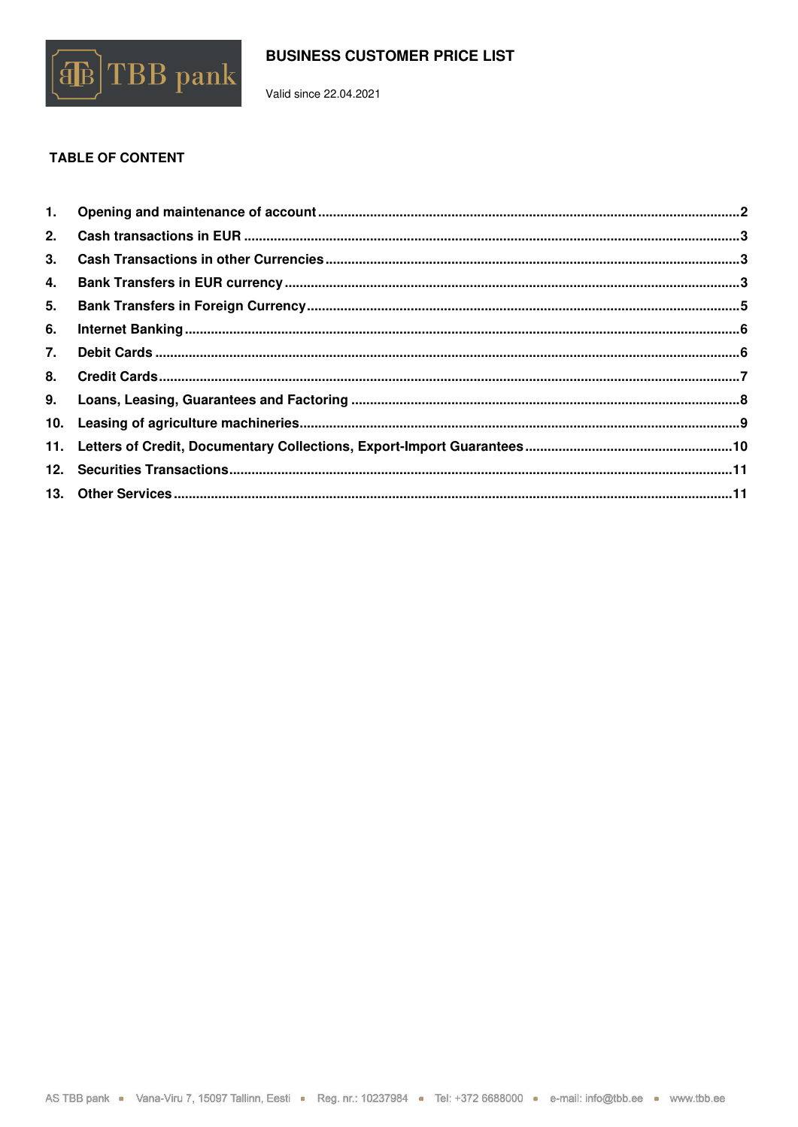

Valid since 22.04.2021

# **TABLE OF CONTENT**

| 4. |  |
|----|--|
|    |  |
| 6. |  |
|    |  |
|    |  |
|    |  |
|    |  |
|    |  |
|    |  |
|    |  |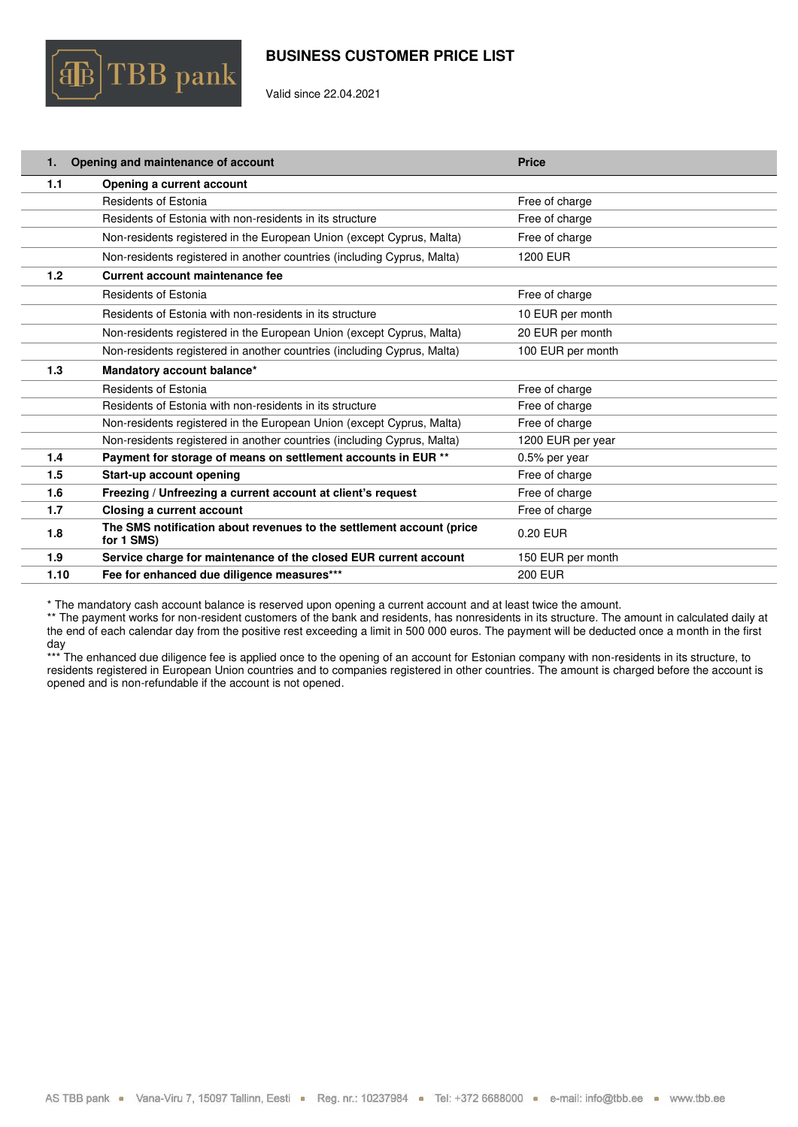

Valid since 22.04.2021

<span id="page-1-0"></span>

| 1.   | Opening and maintenance of account                                                 | <b>Price</b>      |
|------|------------------------------------------------------------------------------------|-------------------|
| 1.1  | Opening a current account                                                          |                   |
|      | <b>Residents of Estonia</b>                                                        | Free of charge    |
|      | Residents of Estonia with non-residents in its structure                           | Free of charge    |
|      | Non-residents registered in the European Union (except Cyprus, Malta)              | Free of charge    |
|      | Non-residents registered in another countries (including Cyprus, Malta)            | 1200 EUR          |
| 1.2  | Current account maintenance fee                                                    |                   |
|      | <b>Residents of Estonia</b>                                                        | Free of charge    |
|      | Residents of Estonia with non-residents in its structure                           | 10 EUR per month  |
|      | Non-residents registered in the European Union (except Cyprus, Malta)              | 20 EUR per month  |
|      | Non-residents registered in another countries (including Cyprus, Malta)            | 100 EUR per month |
| 1.3  | Mandatory account balance*                                                         |                   |
|      | <b>Residents of Estonia</b>                                                        | Free of charge    |
|      | Residents of Estonia with non-residents in its structure                           | Free of charge    |
|      | Non-residents registered in the European Union (except Cyprus, Malta)              | Free of charge    |
|      | Non-residents registered in another countries (including Cyprus, Malta)            | 1200 EUR per year |
| 1.4  | Payment for storage of means on settlement accounts in EUR **                      | 0.5% per year     |
| 1.5  | Start-up account opening                                                           | Free of charge    |
| 1.6  | Freezing / Unfreezing a current account at client's request                        | Free of charge    |
| 1.7  | Closing a current account                                                          | Free of charge    |
| 1.8  | The SMS notification about revenues to the settlement account (price<br>for 1 SMS) | 0.20 EUR          |
| 1.9  | Service charge for maintenance of the closed EUR current account                   | 150 EUR per month |
| 1.10 | Fee for enhanced due diligence measures***                                         | <b>200 EUR</b>    |

\* The mandatory cash account balance is reserved upon opening a current account and at least twice the amount.

\*\* The payment works for non-resident customers of the bank and residents, has nonresidents in its structure. The amount in calculated daily at the end of each calendar day from the positive rest exceeding a limit in 500 000 euros. The payment will be deducted once a month in the first day

\*\*\* The enhanced due diligence fee is applied once to the opening of an account for Estonian company with non-residents in its structure, to residents registered in European Union countries and to companies registered in other countries. The amount is charged before the account is residents registered in other countries. opened and is non-refundable if the account is not opened.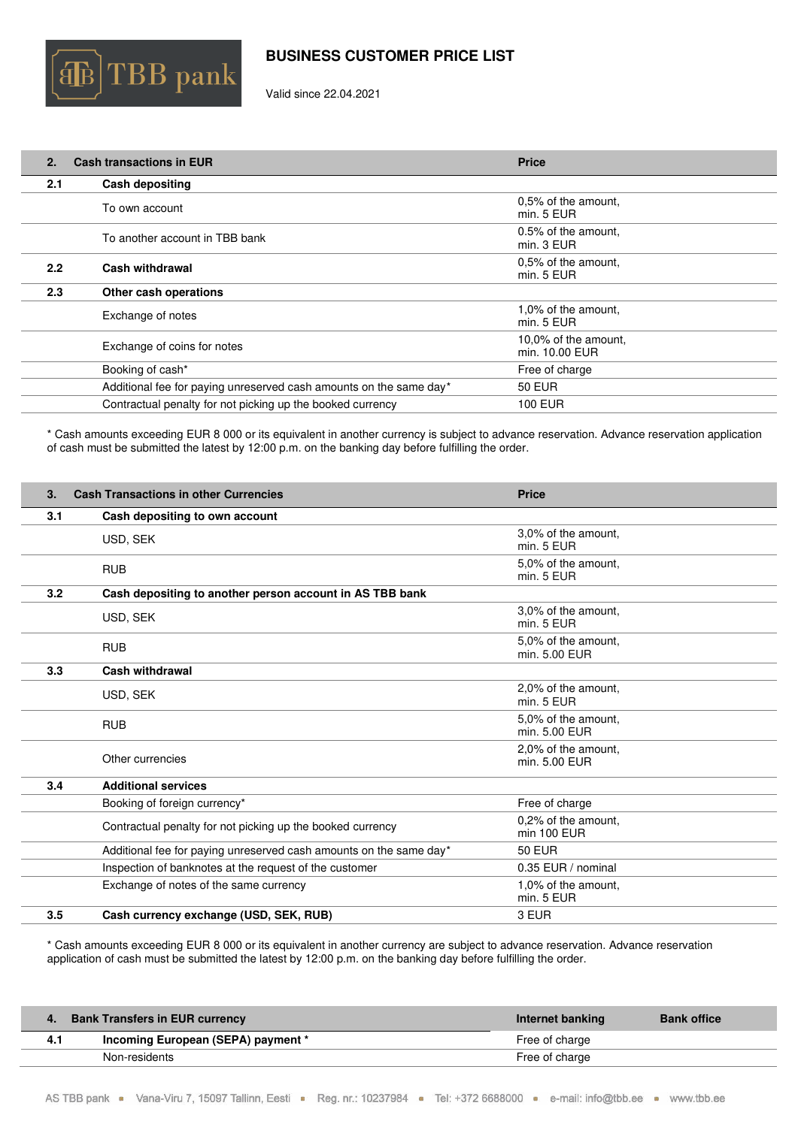

Valid since 22.04.2021

<span id="page-2-0"></span>

| 2.  | <b>Cash transactions in EUR</b>                                    | <b>Price</b>                           |
|-----|--------------------------------------------------------------------|----------------------------------------|
| 2.1 | <b>Cash depositing</b>                                             |                                        |
|     | To own account                                                     | 0,5% of the amount,<br>min. 5 EUR      |
|     | To another account in TBB bank                                     | 0.5% of the amount,<br>min. 3 EUR      |
| 2.2 | Cash withdrawal                                                    | 0,5% of the amount,<br>min. 5 EUR      |
| 2.3 | Other cash operations                                              |                                        |
|     | Exchange of notes                                                  | 1,0% of the amount.<br>min. 5 EUR      |
|     | Exchange of coins for notes                                        | 10,0% of the amount.<br>min. 10.00 EUR |
|     | Booking of cash*                                                   | Free of charge                         |
|     | Additional fee for paying unreserved cash amounts on the same day* | <b>50 EUR</b>                          |
|     | Contractual penalty for not picking up the booked currency         | <b>100 EUR</b>                         |

\* Cash amounts exceeding EUR 8 000 or its equivalent in another currency is subject to advance reservation. Advance reservation application of cash must be submitted the latest by 12:00 p.m. on the banking day before fulfilling the order.

<span id="page-2-1"></span>

| 3.  | <b>Cash Transactions in other Currencies</b>                       | <b>Price</b>                         |  |
|-----|--------------------------------------------------------------------|--------------------------------------|--|
| 3.1 | Cash depositing to own account                                     |                                      |  |
|     | USD, SEK                                                           | 3,0% of the amount.<br>min. 5 EUR    |  |
|     | <b>RUB</b>                                                         | 5,0% of the amount,<br>min. 5 EUR    |  |
| 3.2 | Cash depositing to another person account in AS TBB bank           |                                      |  |
|     | USD, SEK                                                           | 3,0% of the amount,<br>min. 5 EUR    |  |
|     | <b>RUB</b>                                                         | 5.0% of the amount.<br>min. 5.00 EUR |  |
| 3.3 | <b>Cash withdrawal</b>                                             |                                      |  |
|     | USD, SEK                                                           | 2,0% of the amount,<br>min. 5 EUR    |  |
|     | <b>RUB</b>                                                         | 5.0% of the amount.<br>min. 5.00 EUR |  |
|     | Other currencies                                                   | 2,0% of the amount,<br>min. 5.00 EUR |  |
| 3.4 | <b>Additional services</b>                                         |                                      |  |
|     | Booking of foreign currency*                                       | Free of charge                       |  |
|     | Contractual penalty for not picking up the booked currency         | 0,2% of the amount,<br>min 100 EUR   |  |
|     | Additional fee for paying unreserved cash amounts on the same day* | <b>50 EUR</b>                        |  |
|     | Inspection of banknotes at the request of the customer             | 0.35 EUR / nominal                   |  |
|     | Exchange of notes of the same currency                             | 1,0% of the amount,<br>min. 5 EUR    |  |
| 3.5 | Cash currency exchange (USD, SEK, RUB)                             | 3 EUR                                |  |

\* Cash amounts exceeding EUR 8 000 or its equivalent in another currency are subject to advance reservation. Advance reservation application of cash must be submitted the latest by 12:00 p.m. on the banking day before fulfilling the order.

<span id="page-2-2"></span>

|     | <b>Bank Transfers in EUR currency</b> | Internet banking | <b>Bank office</b> |
|-----|---------------------------------------|------------------|--------------------|
| 4.1 | Incoming European (SEPA) payment *    | Free of charge   |                    |
|     | Non-residents                         | Free of charge   |                    |
|     |                                       |                  |                    |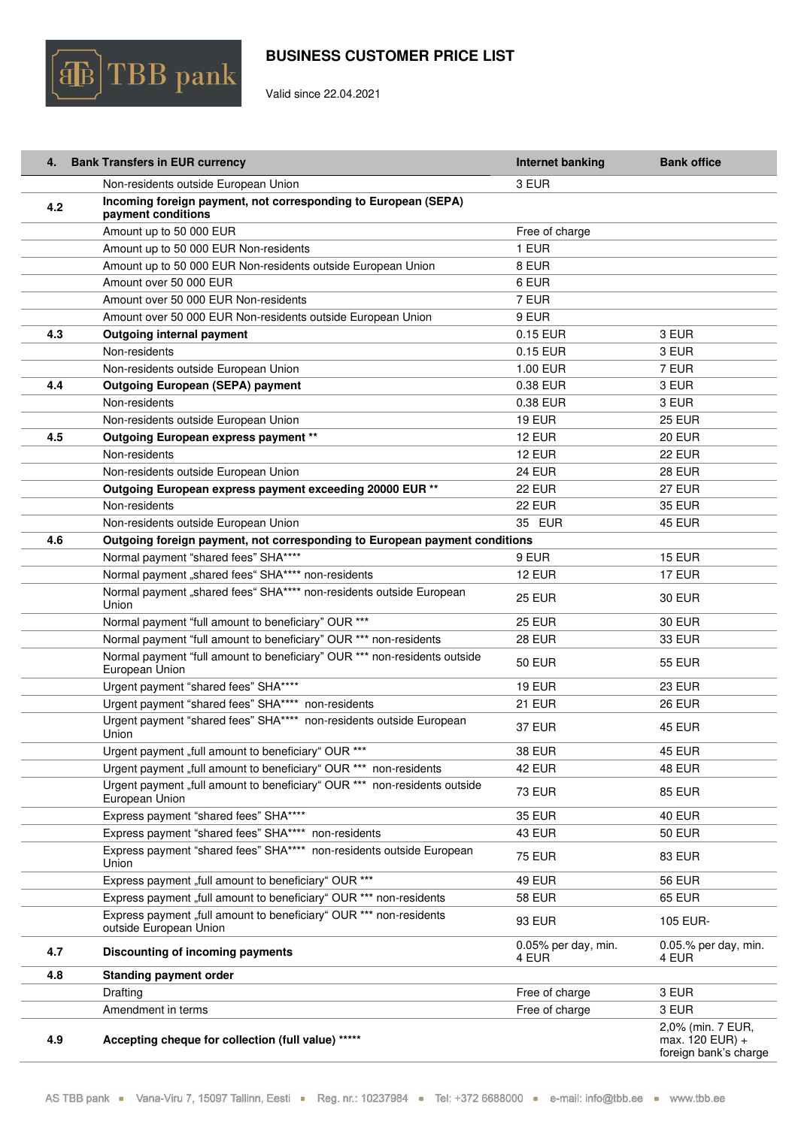

Valid since 22.04.2021

|     | 4. Bank Transfers in EUR currency                                                            | Internet banking              | <b>Bank office</b>                                            |
|-----|----------------------------------------------------------------------------------------------|-------------------------------|---------------------------------------------------------------|
|     | Non-residents outside European Union                                                         | 3 EUR                         |                                                               |
| 4.2 | Incoming foreign payment, not corresponding to European (SEPA)                               |                               |                                                               |
|     | payment conditions                                                                           |                               |                                                               |
|     | Amount up to 50 000 EUR                                                                      | Free of charge                |                                                               |
|     | Amount up to 50 000 EUR Non-residents                                                        | 1 EUR                         |                                                               |
|     | Amount up to 50 000 EUR Non-residents outside European Union                                 | 8 EUR                         |                                                               |
|     | Amount over 50 000 EUR                                                                       | 6 EUR                         |                                                               |
|     | Amount over 50 000 EUR Non-residents                                                         | 7 EUR                         |                                                               |
|     | Amount over 50 000 EUR Non-residents outside European Union                                  | 9 EUR                         |                                                               |
| 4.3 | Outgoing internal payment                                                                    | 0.15 EUR                      | 3 EUR                                                         |
|     | Non-residents                                                                                | 0.15 EUR                      | 3 EUR                                                         |
|     | Non-residents outside European Union                                                         | 1.00 EUR                      | 7 EUR                                                         |
| 4.4 | <b>Outgoing European (SEPA) payment</b>                                                      | 0.38 EUR                      | 3 EUR                                                         |
|     | Non-residents                                                                                | 0.38 EUR                      | 3 EUR                                                         |
|     | Non-residents outside European Union                                                         | <b>19 EUR</b>                 | <b>25 EUR</b>                                                 |
| 4.5 | Outgoing European express payment **                                                         | <b>12 EUR</b>                 | <b>20 EUR</b>                                                 |
|     | Non-residents                                                                                | <b>12 EUR</b>                 | <b>22 EUR</b>                                                 |
|     | Non-residents outside European Union                                                         | <b>24 EUR</b>                 | <b>28 EUR</b>                                                 |
|     | Outgoing European express payment exceeding 20000 EUR **                                     | <b>22 EUR</b>                 | <b>27 EUR</b>                                                 |
|     | Non-residents                                                                                | 22 EUR                        | <b>35 EUR</b>                                                 |
|     | Non-residents outside European Union                                                         | 35 EUR                        | <b>45 EUR</b>                                                 |
| 4.6 | Outgoing foreign payment, not corresponding to European payment conditions                   |                               |                                                               |
|     | Normal payment "shared fees" SHA****                                                         | 9 EUR                         | <b>15 EUR</b>                                                 |
|     | Normal payment "shared fees" SHA**** non-residents                                           | <b>12 EUR</b>                 | <b>17 EUR</b>                                                 |
|     | Normal payment "shared fees" SHA**** non-residents outside European<br>Union                 | <b>25 EUR</b>                 | <b>30 EUR</b>                                                 |
|     | Normal payment "full amount to beneficiary" OUR ***                                          | <b>25 EUR</b>                 | <b>30 EUR</b>                                                 |
|     | Normal payment "full amount to beneficiary" OUR *** non-residents                            | <b>28 EUR</b>                 | <b>33 EUR</b>                                                 |
|     | Normal payment "full amount to beneficiary" OUR *** non-residents outside<br>European Union  | <b>50 EUR</b>                 | <b>55 EUR</b>                                                 |
|     | Urgent payment "shared fees" SHA****                                                         | <b>19 EUR</b>                 | <b>23 EUR</b>                                                 |
|     | Urgent payment "shared fees" SHA**** non-residents                                           | <b>21 EUR</b>                 | <b>26 EUR</b>                                                 |
|     | Urgent payment "shared fees" SHA**** non-residents outside European<br>Union                 | <b>37 EUR</b>                 | <b>45 EUR</b>                                                 |
|     | Urgent payment "full amount to beneficiary" OUR ***                                          | <b>38 EUR</b>                 | <b>45 EUR</b>                                                 |
|     | Urgent payment "full amount to beneficiary" OUR *** non-residents                            | 42 EUR                        | <b>48 EUR</b>                                                 |
|     | Urgent payment "full amount to beneficiary" OUR *** non-residents outside<br>European Union  | <b>73 EUR</b>                 | <b>85 EUR</b>                                                 |
|     | Express payment "shared fees" SHA****                                                        | <b>35 EUR</b>                 | <b>40 EUR</b>                                                 |
|     | Express payment "shared fees" SHA**** non-residents                                          | 43 EUR                        | <b>50 EUR</b>                                                 |
|     | Express payment "shared fees" SHA**** non-residents outside European<br>Union                | <b>75 EUR</b>                 | <b>83 EUR</b>                                                 |
|     | Express payment "full amount to beneficiary" OUR ***                                         | 49 EUR                        | <b>56 EUR</b>                                                 |
|     | Express payment "full amount to beneficiary" OUR *** non-residents                           | <b>58 EUR</b>                 | <b>65 EUR</b>                                                 |
|     | Express payment "full amount to beneficiary" OUR *** non-residents<br>outside European Union | <b>93 EUR</b>                 | 105 EUR-                                                      |
| 4.7 | Discounting of incoming payments                                                             | 0.05% per day, min.<br>4 EUR. | 0.05.% per day, min.<br>4 EUR                                 |
| 4.8 | <b>Standing payment order</b>                                                                |                               |                                                               |
|     | Drafting                                                                                     | Free of charge                | 3 EUR                                                         |
|     | Amendment in terms                                                                           | Free of charge                | 3 EUR                                                         |
| 4.9 | Accepting cheque for collection (full value) *****                                           |                               | 2,0% (min. 7 EUR,<br>max. 120 EUR) +<br>foreign bank's charge |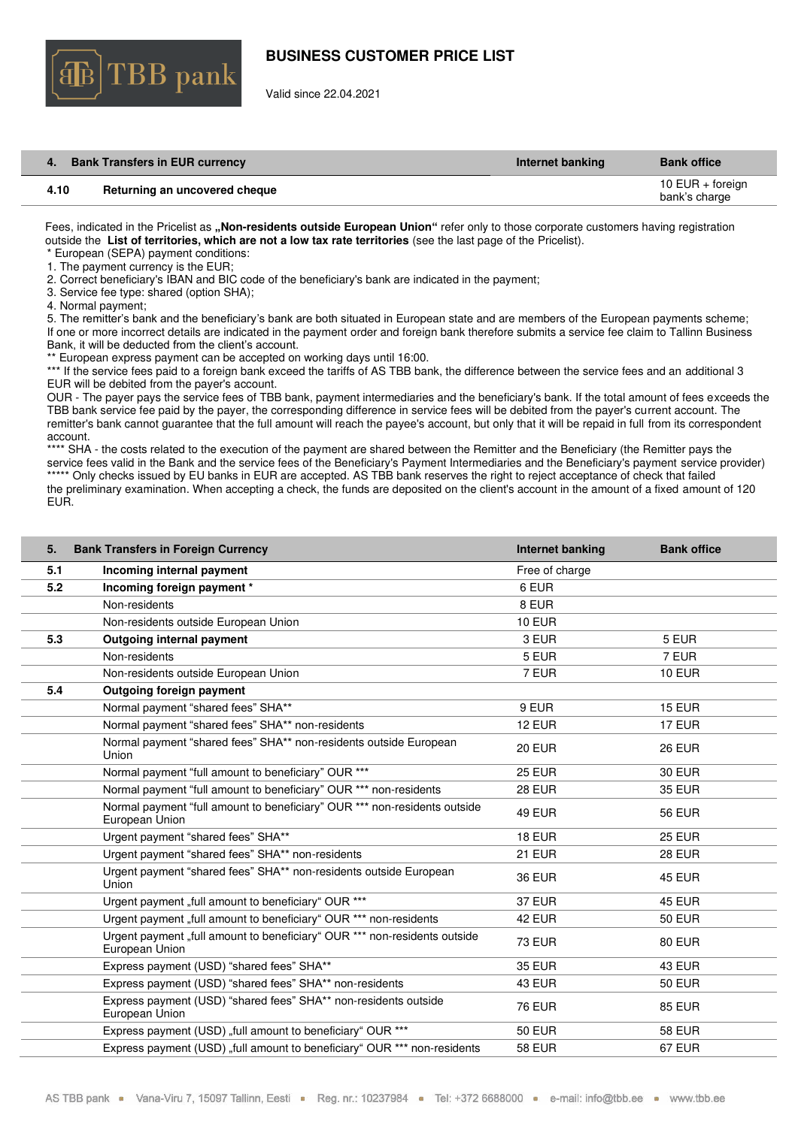

Valid since 22.04.2021

| 4.   | <b>Bank Transfers in EUR currency</b> | Internet banking | <b>Bank office</b>                  |
|------|---------------------------------------|------------------|-------------------------------------|
| 4.10 | Returning an uncovered cheque         |                  | 10 EUR $+$ foreign<br>bank's charge |

Fees, indicated in the Pricelist as **"Non-residents outside European Union"** refer only to those corporate customers having registration outside the **List of territories, which are not a low tax rate territories** (see the last page of the Pricelist).

\* European (SEPA) payment conditions:

1. The payment currency is the EUR;

2. Correct beneficiary's IBAN and BIC code of the beneficiary's bank are indicated in the payment;

3. Service fee type: shared (option SHA);

4. Normal payment;

5. The remitter's bank and the beneficiary's bank are both situated in European state and are members of the European payments scheme; If one or more incorrect details are indicated in the payment order and foreign bank therefore submits a service fee claim to Tallinn Business Bank, it will be deducted from the client's account.

\*\* European express payment can be accepted on working days until 16:00.

\*\*\* If the service fees paid to a foreign bank exceed the tariffs of AS TBB bank, the difference between the service fees and an additional 3 EUR will be debited from the payer's account.

OUR - The payer pays the service fees of TBB bank, payment intermediaries and the beneficiary's bank. If the total amount of fees exceeds the TBB bank service fee paid by the payer, the corresponding difference in service fees will be debited from the payer's current account. The remitter's bank cannot guarantee that the full amount will reach the payee's account, but only that it will be repaid in full from its correspondent account.

\*\*\*\* SHA - the costs related to the execution of the payment are shared between the Remitter and the Beneficiary (the Remitter pays the service fees valid in the Bank and the service fees of the Beneficiary's Payment Intermediaries and the Beneficiary's payment service provider) \*\*\*\*\* Only checks issued by EU banks in EUR are accepted. AS TBB bank reserves the right to reject acceptance of check that failed the preliminary examination. When accepting a check, the funds are deposited on the client's account in the amount of a fixed amount of 120 EUR.

<span id="page-4-0"></span>

| 5.  | <b>Bank Transfers in Foreign Currency</b>                                                   | Internet banking | <b>Bank office</b> |
|-----|---------------------------------------------------------------------------------------------|------------------|--------------------|
| 5.1 | Incoming internal payment                                                                   | Free of charge   |                    |
| 5.2 | Incoming foreign payment *                                                                  | 6 EUR            |                    |
|     | Non-residents                                                                               | 8 EUR            |                    |
|     | Non-residents outside European Union                                                        | <b>10 EUR</b>    |                    |
| 5.3 | Outgoing internal payment                                                                   | 3 EUR            | 5 EUR              |
|     | Non-residents                                                                               | 5 EUR            | 7 EUR              |
|     | Non-residents outside European Union                                                        | 7 EUR            | <b>10 EUR</b>      |
| 5.4 | Outgoing foreign payment                                                                    |                  |                    |
|     | Normal payment "shared fees" SHA**                                                          | 9 EUR            | <b>15 EUR</b>      |
|     | Normal payment "shared fees" SHA** non-residents                                            | 12 EUR           | <b>17 EUR</b>      |
|     | Normal payment "shared fees" SHA** non-residents outside European<br>Union                  | <b>20 EUR</b>    | <b>26 EUR</b>      |
|     | Normal payment "full amount to beneficiary" OUR ***                                         | <b>25 EUR</b>    | <b>30 EUR</b>      |
|     | Normal payment "full amount to beneficiary" OUR *** non-residents                           | 28 EUR           | <b>35 EUR</b>      |
|     | Normal payment "full amount to beneficiary" OUR *** non-residents outside<br>European Union | 49 EUR           | <b>56 EUR</b>      |
|     | Urgent payment "shared fees" SHA**                                                          | 18 EUR           | <b>25 EUR</b>      |
|     | Urgent payment "shared fees" SHA** non-residents                                            | 21 EUR           | <b>28 EUR</b>      |
|     | Urgent payment "shared fees" SHA** non-residents outside European<br>Union                  | <b>36 EUR</b>    | <b>45 EUR</b>      |
|     | Urgent payment "full amount to beneficiary" OUR ***                                         | <b>37 EUR</b>    | <b>45 EUR</b>      |
|     | Urgent payment "full amount to beneficiary" OUR *** non-residents                           | 42 EUR           | <b>50 EUR</b>      |
|     | Urgent payment "full amount to beneficiary" OUR *** non-residents outside<br>European Union | <b>73 EUR</b>    | <b>80 EUR</b>      |
|     | Express payment (USD) "shared fees" SHA**                                                   | <b>35 EUR</b>    | 43 EUR             |
|     | Express payment (USD) "shared fees" SHA** non-residents                                     | 43 EUR           | <b>50 EUR</b>      |
|     | Express payment (USD) "shared fees" SHA** non-residents outside<br>European Union           | <b>76 EUR</b>    | <b>85 EUR</b>      |
|     | Express payment (USD) "full amount to beneficiary" OUR ***                                  | <b>50 EUR</b>    | <b>58 EUR</b>      |
|     | Express payment (USD) "full amount to beneficiary" OUR *** non-residents                    | <b>58 EUR</b>    | 67 EUR             |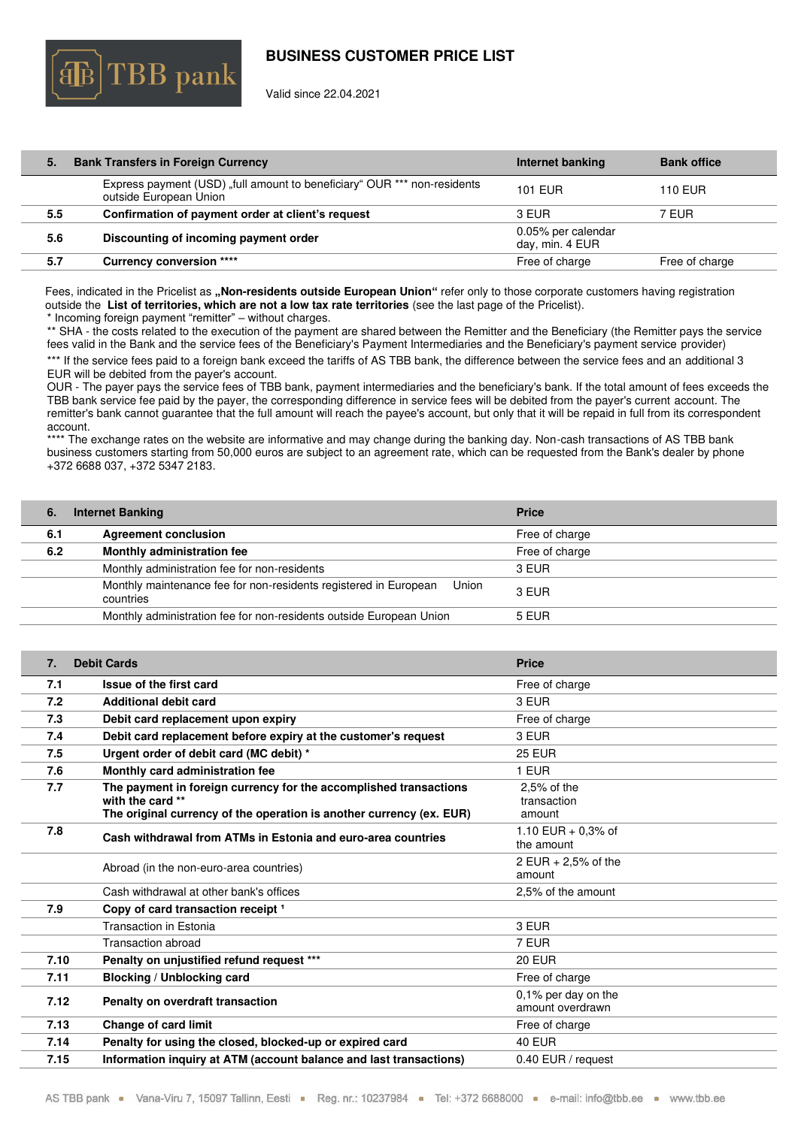

Valid since 22.04.2021

| 5.  | <b>Bank Transfers in Foreign Currency</b>                                                          | Internet banking                      | <b>Bank office</b> |
|-----|----------------------------------------------------------------------------------------------------|---------------------------------------|--------------------|
|     | Express payment (USD) "full amount to beneficiary" OUR *** non-residents<br>outside European Union | <b>101 EUR</b>                        | <b>110 EUR</b>     |
| 5.5 | Confirmation of payment order at client's request                                                  | 3 EUR                                 | 7 EUR              |
| 5.6 | Discounting of incoming payment order                                                              | 0.05% per calendar<br>day, min. 4 EUR |                    |
| 5.7 | <b>Currency conversion ****</b>                                                                    | Free of charge                        | Free of charge     |
|     |                                                                                                    |                                       |                    |

Fees, indicated in the Pricelist as **"Non-residents outside European Union"** refer only to those corporate customers having registration outside the **List of territories, which are not a low tax rate territories** (see the last page of the Pricelist).

\* Incoming foreign payment "remitter" – without charges.

\*\* SHA - the costs related to the execution of the payment are shared between the Remitter and the Beneficiary (the Remitter pays the service fees valid in the Bank and the service fees of the Beneficiary's Payment Intermediaries and the Beneficiary's payment service provider)

\*\*\* If the service fees paid to a foreign bank exceed the tariffs of AS TBB bank, the difference between the service fees and an additional 3 EUR will be debited from the payer's account.

OUR - The payer pays the service fees of TBB bank, payment intermediaries and the beneficiary's bank. If the total amount of fees exceeds the TBB bank service fee paid by the payer, the corresponding difference in service fees will be debited from the payer's current account. The remitter's bank cannot guarantee that the full amount will reach the payee's account, but only that it will be repaid in full from its correspondent account.

\*\*\*\* The exchange rates on the website are informative and may change during the banking day. Non-cash transactions of AS TBB bank business customers starting from 50,000 euros are subject to an agreement rate, which can be requested from the Bank's dealer by phone +372 6688 037, +372 5347 2183.

<span id="page-5-0"></span>

| 6.  | <b>Internet Banking</b>                                                                | <b>Price</b>   |
|-----|----------------------------------------------------------------------------------------|----------------|
| 6.1 | <b>Agreement conclusion</b>                                                            | Free of charge |
| 6.2 | Monthly administration fee                                                             | Free of charge |
|     | Monthly administration fee for non-residents                                           | 3 EUR          |
|     | Monthly maintenance fee for non-residents registered in European<br>Union<br>countries | 3 EUR          |
|     | Monthly administration fee for non-residents outside European Union                    | 5 EUR          |

<span id="page-5-1"></span>

| 7.   | <b>Debit Cards</b>                                                                       | <b>Price</b>                            |
|------|------------------------------------------------------------------------------------------|-----------------------------------------|
| 7.1  | Issue of the first card                                                                  | Free of charge                          |
| 7.2  | <b>Additional debit card</b>                                                             | 3 EUR                                   |
| 7.3  | Debit card replacement upon expiry                                                       | Free of charge                          |
| 7.4  | Debit card replacement before expiry at the customer's request                           | 3 EUR                                   |
| 7.5  | Urgent order of debit card (MC debit) *                                                  | <b>25 EUR</b>                           |
| 7.6  | Monthly card administration fee                                                          | 1 EUR                                   |
| 7.7  | The payment in foreign currency for the accomplished transactions                        | $2.5%$ of the                           |
|      | with the card **<br>The original currency of the operation is another currency (ex. EUR) | transaction<br>amount                   |
| 7.8  |                                                                                          | 1.10 EUR + 0.3% of                      |
|      | Cash withdrawal from ATMs in Estonia and euro-area countries                             | the amount                              |
|      | Abroad (in the non-euro-area countries)                                                  | 2 EUR + 2,5% of the                     |
|      |                                                                                          | amount                                  |
|      | Cash withdrawal at other bank's offices                                                  | 2.5% of the amount                      |
| 7.9  | Copy of card transaction receipt 1                                                       |                                         |
|      | Transaction in Estonia                                                                   | 3 EUR                                   |
|      | Transaction abroad                                                                       | 7 EUR                                   |
| 7.10 | Penalty on unjustified refund request ***                                                | <b>20 EUR</b>                           |
| 7.11 | Blocking / Unblocking card                                                               | Free of charge                          |
| 7.12 | Penalty on overdraft transaction                                                         | 0,1% per day on the<br>amount overdrawn |
| 7.13 | <b>Change of card limit</b>                                                              | Free of charge                          |
| 7.14 | Penalty for using the closed, blocked-up or expired card                                 | <b>40 EUR</b>                           |
| 7.15 | Information inquiry at ATM (account balance and last transactions)                       | 0.40 EUR / request                      |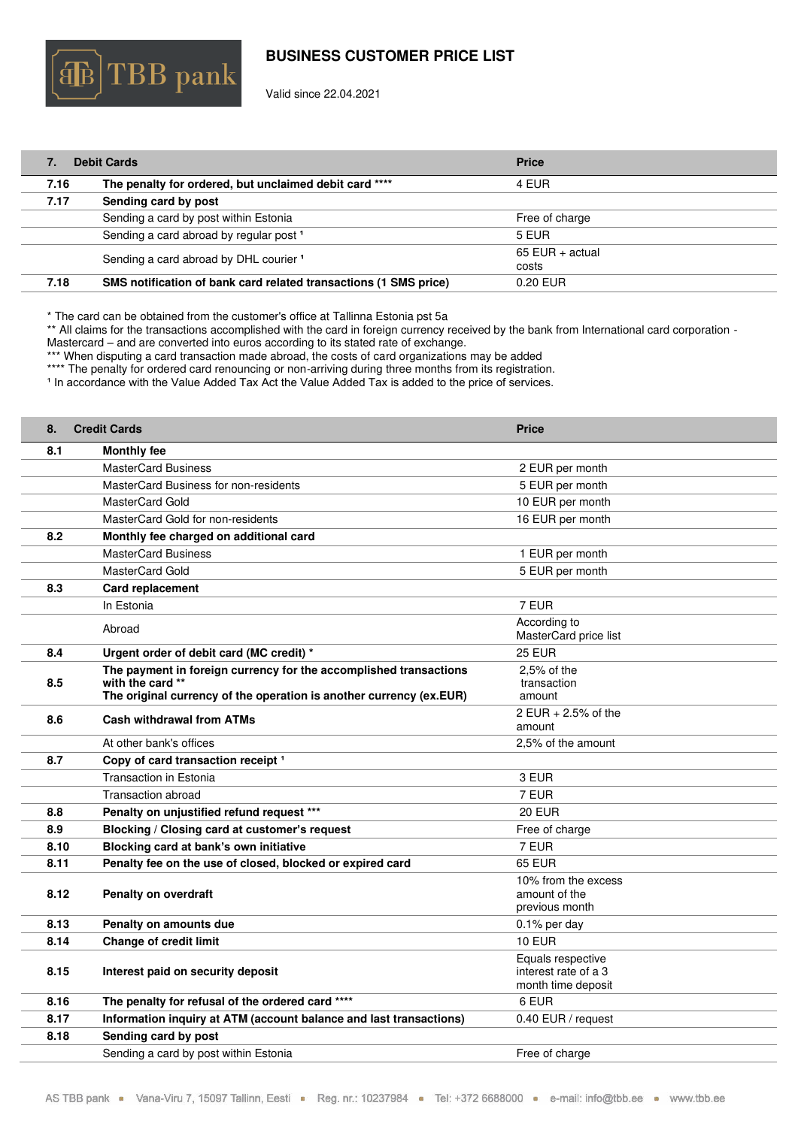

Valid since 22.04.2021

| <b>Debit Cards</b> |                                                                  | <b>Price</b>      |
|--------------------|------------------------------------------------------------------|-------------------|
| 7.16               | The penalty for ordered, but unclaimed debit card ****           | 4 EUR             |
| 7.17               | Sending card by post                                             |                   |
|                    | Sending a card by post within Estonia                            | Free of charge    |
|                    | Sending a card abroad by regular post <sup>1</sup>               | 5 EUR             |
|                    | Sending a card abroad by DHL courier <sup>1</sup>                | $65$ EUR + actual |
|                    |                                                                  | costs             |
| 7.18               | SMS notification of bank card related transactions (1 SMS price) | 0.20 EUR          |

\* The card can be obtained from the customer's office at Tallinna Estonia pst 5a

\*\* All claims for the transactions accomplished with the card in foreign currency received by the bank from International card corporation - Mastercard – and are converted into euros according to its stated rate of exchange.

\*\*\* When disputing a card transaction made abroad, the costs of card organizations may be added

\*\*\*\* The penalty for ordered card renouncing or non-arriving during three months from its registration.

<sup>1</sup> In accordance with the Value Added Tax Act the Value Added Tax is added to the price of services.

<span id="page-6-0"></span>

| 8.   | <b>Credit Cards</b>                                                                     | <b>Price</b>                          |
|------|-----------------------------------------------------------------------------------------|---------------------------------------|
| 8.1  | <b>Monthly fee</b>                                                                      |                                       |
|      | <b>MasterCard Business</b>                                                              | 2 EUR per month                       |
|      | MasterCard Business for non-residents                                                   | 5 EUR per month                       |
|      | MasterCard Gold                                                                         | 10 EUR per month                      |
|      | MasterCard Gold for non-residents                                                       | 16 EUR per month                      |
| 8.2  | Monthly fee charged on additional card                                                  |                                       |
|      | <b>MasterCard Business</b>                                                              | 1 EUR per month                       |
|      | MasterCard Gold                                                                         | 5 EUR per month                       |
| 8.3  | Card replacement                                                                        |                                       |
|      | In Estonia                                                                              | 7 EUR                                 |
|      | Abroad                                                                                  | According to<br>MasterCard price list |
| 8.4  | Urgent order of debit card (MC credit) *                                                | <b>25 EUR</b>                         |
|      | The payment in foreign currency for the accomplished transactions                       | $2.5%$ of the                         |
| 8.5  | with the card **<br>The original currency of the operation is another currency (ex.EUR) | transaction<br>amount                 |
|      |                                                                                         | 2 EUR + 2.5% of the                   |
| 8.6  | <b>Cash withdrawal from ATMs</b>                                                        | amount                                |
|      | At other bank's offices                                                                 | 2,5% of the amount                    |
| 8.7  | Copy of card transaction receipt <sup>1</sup>                                           |                                       |
|      | Transaction in Estonia                                                                  | 3 EUR                                 |
|      | <b>Transaction abroad</b>                                                               | 7 EUR                                 |
| 8.8  | Penalty on unjustified refund request ***                                               | <b>20 EUR</b>                         |
| 8.9  | Blocking / Closing card at customer's request                                           | Free of charge                        |
| 8.10 | Blocking card at bank's own initiative                                                  | 7 EUR                                 |
| 8.11 | Penalty fee on the use of closed, blocked or expired card                               | <b>65 EUR</b>                         |
|      |                                                                                         | 10% from the excess                   |
| 8.12 | <b>Penalty on overdraft</b>                                                             | amount of the<br>previous month       |
| 8.13 | Penalty on amounts due                                                                  | $0.1\%$ per day                       |
| 8.14 | <b>Change of credit limit</b>                                                           | <b>10 EUR</b>                         |
|      |                                                                                         | Equals respective                     |
| 8.15 | Interest paid on security deposit                                                       | interest rate of a 3                  |
|      |                                                                                         | month time deposit                    |
| 8.16 | The penalty for refusal of the ordered card ****                                        | 6 EUR                                 |
| 8.17 | Information inquiry at ATM (account balance and last transactions)                      | 0.40 EUR / request                    |
| 8.18 | Sending card by post                                                                    |                                       |
|      | Sending a card by post within Estonia                                                   | Free of charge                        |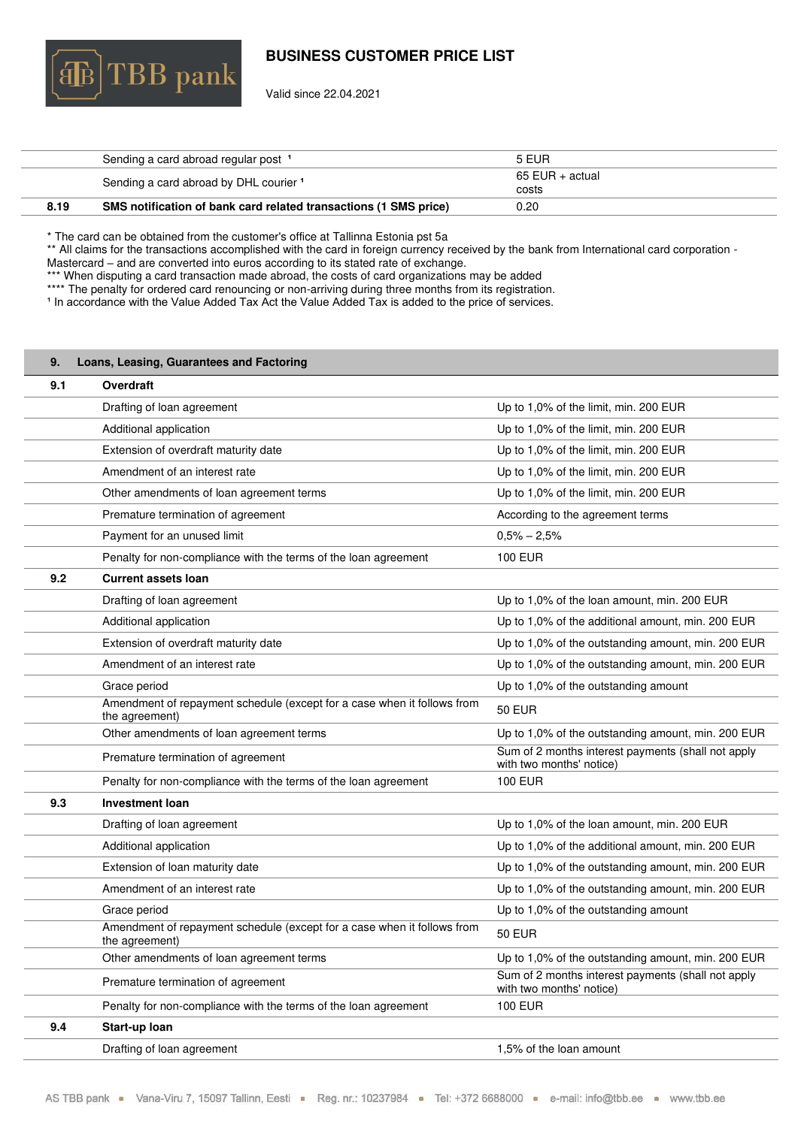

Valid since 22.04.2021

|      | Sending a card abroad regular post 1                             | 5 EUR                    |
|------|------------------------------------------------------------------|--------------------------|
|      | Sending a card abroad by DHL courier 1                           | 65 EUR + actual<br>costs |
| 8.19 | SMS notification of bank card related transactions (1 SMS price) | 0.20                     |

\* The card can be obtained from the customer's office at Tallinna Estonia pst 5a

\*\* All claims for the transactions accomplished with the card in foreign currency received by the bank from International card corporation -Mastercard – and are converted into euros according to its stated rate of exchange.

\*\*\* When disputing a card transaction made abroad, the costs of card organizations may be added

\*\*\*\* The penalty for ordered card renouncing or non-arriving during three months from its registration.

In accordance with the Value Added Tax Act the Value Added Tax is added to the price of services.

<span id="page-7-0"></span>

| 9.  | Loans, Leasing, Guarantees and Factoring                                                  |                                                                                |
|-----|-------------------------------------------------------------------------------------------|--------------------------------------------------------------------------------|
| 9.1 | Overdraft                                                                                 |                                                                                |
|     | Drafting of loan agreement                                                                | Up to 1,0% of the limit, min. 200 EUR                                          |
|     | Additional application                                                                    | Up to 1,0% of the limit, min. 200 EUR                                          |
|     | Extension of overdraft maturity date                                                      | Up to 1,0% of the limit, min. 200 EUR                                          |
|     | Amendment of an interest rate                                                             | Up to 1,0% of the limit, min. 200 EUR                                          |
|     | Other amendments of loan agreement terms                                                  | Up to 1,0% of the limit, min. 200 EUR                                          |
|     | Premature termination of agreement                                                        | According to the agreement terms                                               |
|     | Payment for an unused limit                                                               | $0,5% - 2,5%$                                                                  |
|     | Penalty for non-compliance with the terms of the loan agreement                           | <b>100 EUR</b>                                                                 |
| 9.2 | <b>Current assets loan</b>                                                                |                                                                                |
|     | Drafting of loan agreement                                                                | Up to 1,0% of the loan amount, min. 200 EUR                                    |
|     | Additional application                                                                    | Up to 1,0% of the additional amount, min. 200 EUR                              |
|     | Extension of overdraft maturity date                                                      | Up to 1,0% of the outstanding amount, min. 200 EUR                             |
|     | Amendment of an interest rate                                                             | Up to 1,0% of the outstanding amount, min. 200 EUR                             |
|     | Grace period                                                                              | Up to 1,0% of the outstanding amount                                           |
|     | Amendment of repayment schedule (except for a case when it follows from<br>the agreement) | <b>50 EUR</b>                                                                  |
|     | Other amendments of loan agreement terms                                                  | Up to 1,0% of the outstanding amount, min. 200 EUR                             |
|     | Premature termination of agreement                                                        | Sum of 2 months interest payments (shall not apply<br>with two months' notice) |
|     | Penalty for non-compliance with the terms of the loan agreement                           | <b>100 EUR</b>                                                                 |
| 9.3 | Investment loan                                                                           |                                                                                |
|     | Drafting of loan agreement                                                                | Up to 1,0% of the loan amount, min. 200 EUR                                    |
|     | Additional application                                                                    | Up to 1,0% of the additional amount, min. 200 EUR                              |
|     | Extension of loan maturity date                                                           | Up to 1,0% of the outstanding amount, min. 200 EUR                             |
|     | Amendment of an interest rate                                                             | Up to 1,0% of the outstanding amount, min. 200 EUR                             |
|     | Grace period                                                                              | Up to 1,0% of the outstanding amount                                           |
|     | Amendment of repayment schedule (except for a case when it follows from<br>the agreement) | <b>50 EUR</b>                                                                  |
|     | Other amendments of loan agreement terms                                                  | Up to 1,0% of the outstanding amount, min. 200 EUR                             |
|     | Premature termination of agreement                                                        | Sum of 2 months interest payments (shall not apply<br>with two months' notice) |
|     | Penalty for non-compliance with the terms of the loan agreement                           | <b>100 EUR</b>                                                                 |
| 9.4 | Start-up loan                                                                             |                                                                                |
|     | Drafting of loan agreement                                                                | 1,5% of the loan amount                                                        |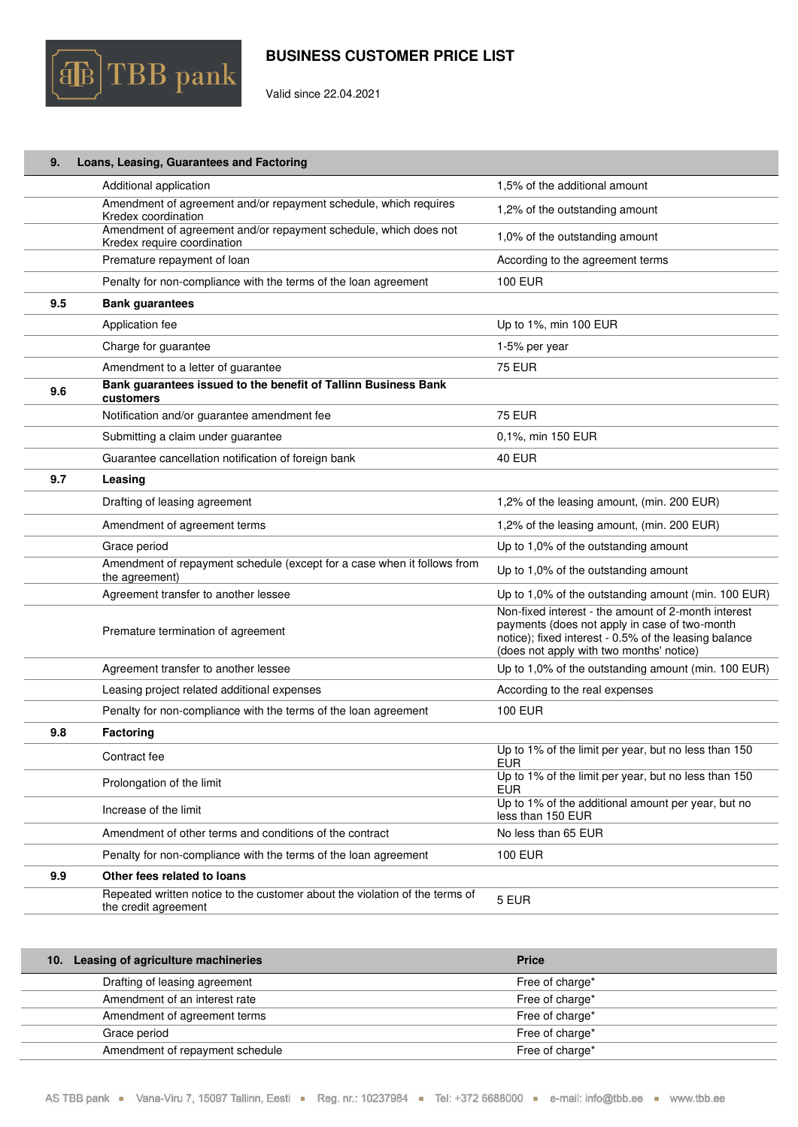

Valid since 22.04.2021

| 9.  | Loans, Leasing, Guarantees and Factoring                                                            |                                                                                                                                                                                                           |
|-----|-----------------------------------------------------------------------------------------------------|-----------------------------------------------------------------------------------------------------------------------------------------------------------------------------------------------------------|
|     | Additional application                                                                              | 1,5% of the additional amount                                                                                                                                                                             |
|     | Amendment of agreement and/or repayment schedule, which requires<br>Kredex coordination             | 1,2% of the outstanding amount                                                                                                                                                                            |
|     | Amendment of agreement and/or repayment schedule, which does not<br>Kredex require coordination     | 1,0% of the outstanding amount                                                                                                                                                                            |
|     | Premature repayment of loan                                                                         | According to the agreement terms                                                                                                                                                                          |
|     | Penalty for non-compliance with the terms of the loan agreement                                     | <b>100 EUR</b>                                                                                                                                                                                            |
| 9.5 | <b>Bank guarantees</b>                                                                              |                                                                                                                                                                                                           |
|     | Application fee                                                                                     | Up to 1%, min 100 EUR                                                                                                                                                                                     |
|     | Charge for guarantee                                                                                | 1-5% per year                                                                                                                                                                                             |
|     | Amendment to a letter of guarantee                                                                  | <b>75 EUR</b>                                                                                                                                                                                             |
| 9.6 | Bank guarantees issued to the benefit of Tallinn Business Bank<br>customers                         |                                                                                                                                                                                                           |
|     | Notification and/or guarantee amendment fee                                                         | <b>75 EUR</b>                                                                                                                                                                                             |
|     | Submitting a claim under guarantee                                                                  | 0,1%, min 150 EUR                                                                                                                                                                                         |
|     | Guarantee cancellation notification of foreign bank                                                 | <b>40 EUR</b>                                                                                                                                                                                             |
| 9.7 | Leasing                                                                                             |                                                                                                                                                                                                           |
|     | Drafting of leasing agreement                                                                       | 1,2% of the leasing amount, (min. 200 EUR)                                                                                                                                                                |
|     | Amendment of agreement terms                                                                        | 1,2% of the leasing amount, (min. 200 EUR)                                                                                                                                                                |
|     | Grace period                                                                                        | Up to 1,0% of the outstanding amount                                                                                                                                                                      |
|     | Amendment of repayment schedule (except for a case when it follows from<br>the agreement)           | Up to 1,0% of the outstanding amount                                                                                                                                                                      |
|     | Agreement transfer to another lessee                                                                | Up to 1,0% of the outstanding amount (min. 100 EUR)                                                                                                                                                       |
|     | Premature termination of agreement                                                                  | Non-fixed interest - the amount of 2-month interest<br>payments (does not apply in case of two-month<br>notice); fixed interest - 0.5% of the leasing balance<br>(does not apply with two months' notice) |
|     | Agreement transfer to another lessee                                                                | Up to 1,0% of the outstanding amount (min. 100 EUR)                                                                                                                                                       |
|     | Leasing project related additional expenses                                                         | According to the real expenses                                                                                                                                                                            |
|     | Penalty for non-compliance with the terms of the loan agreement                                     | <b>100 EUR</b>                                                                                                                                                                                            |
| 9.8 | Factoring                                                                                           |                                                                                                                                                                                                           |
|     | Contract fee                                                                                        | Up to 1% of the limit per year, but no less than 150<br><b>EUR</b>                                                                                                                                        |
|     | Prolongation of the limit                                                                           | Up to 1% of the limit per year, but no less than 150<br><b>EUR</b>                                                                                                                                        |
|     | Increase of the limit                                                                               | Up to 1% of the additional amount per year, but no<br>less than 150 EUR                                                                                                                                   |
|     | Amendment of other terms and conditions of the contract                                             | No less than 65 EUR                                                                                                                                                                                       |
|     | Penalty for non-compliance with the terms of the loan agreement                                     | <b>100 EUR</b>                                                                                                                                                                                            |
| 9.9 | Other fees related to loans                                                                         |                                                                                                                                                                                                           |
|     | Repeated written notice to the customer about the violation of the terms of<br>the credit agreement | 5 EUR                                                                                                                                                                                                     |

<span id="page-8-0"></span>

| 10. Leasing of agriculture machineries | <b>Price</b>    |
|----------------------------------------|-----------------|
| Drafting of leasing agreement          | Free of charge* |
| Amendment of an interest rate          | Free of charge* |
| Amendment of agreement terms           | Free of charge* |
| Grace period                           | Free of charge* |
| Amendment of repayment schedule        | Free of charge* |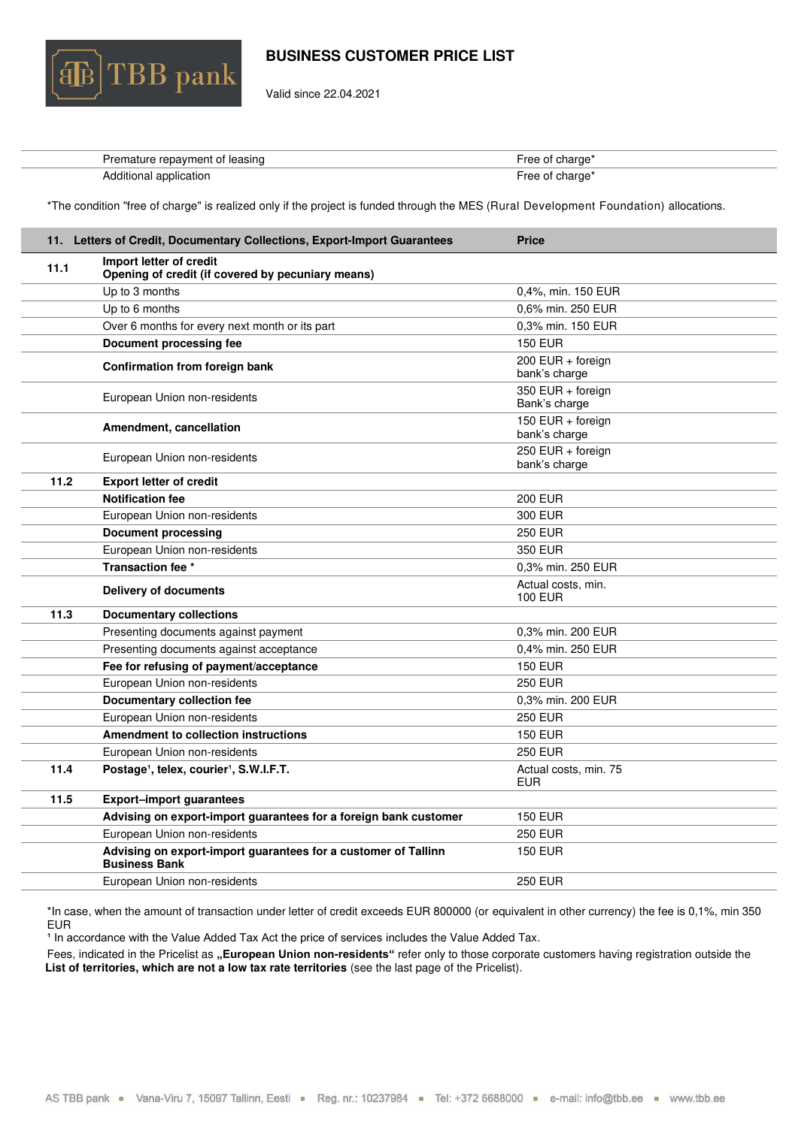

Valid since 22.04.2021

| Premature repayment of leasing | Free of charge <sup>*</sup> |
|--------------------------------|-----------------------------|
| Additional application         | Free of charge <sup>*</sup> |

\*The condition "free of charge" is realized only if the project is funded through the MES (Rural Development Foundation) allocations.

<span id="page-9-0"></span>

|      | 11. Letters of Credit, Documentary Collections, Export-Import Guarantees               | <b>Price</b>                         |
|------|----------------------------------------------------------------------------------------|--------------------------------------|
| 11.1 | Import letter of credit<br>Opening of credit (if covered by pecuniary means)           |                                      |
|      | Up to 3 months                                                                         | 0,4%, min. 150 EUR                   |
|      | Up to 6 months                                                                         | 0,6% min. 250 EUR                    |
|      | Over 6 months for every next month or its part                                         | 0,3% min. 150 EUR                    |
|      | Document processing fee                                                                | <b>150 EUR</b>                       |
|      | <b>Confirmation from foreign bank</b>                                                  | 200 EUR + foreign<br>bank's charge   |
|      | European Union non-residents                                                           | 350 EUR + foreign<br>Bank's charge   |
|      | Amendment, cancellation                                                                | 150 EUR + foreign<br>bank's charge   |
|      | European Union non-residents                                                           | $250$ EUR + foreign<br>bank's charge |
| 11.2 | <b>Export letter of credit</b>                                                         |                                      |
|      | <b>Notification fee</b>                                                                | <b>200 EUR</b>                       |
|      | European Union non-residents                                                           | 300 EUR                              |
|      | <b>Document processing</b>                                                             | <b>250 EUR</b>                       |
|      | European Union non-residents                                                           | 350 EUR                              |
|      | Transaction fee *                                                                      | 0.3% min. 250 EUR                    |
|      | Delivery of documents                                                                  | Actual costs, min.<br><b>100 EUR</b> |
| 11.3 | <b>Documentary collections</b>                                                         |                                      |
|      | Presenting documents against payment                                                   | 0.3% min. 200 EUR                    |
|      | Presenting documents against acceptance                                                | 0.4% min. 250 EUR                    |
|      | Fee for refusing of payment/acceptance                                                 | <b>150 EUR</b>                       |
|      | European Union non-residents                                                           | <b>250 EUR</b>                       |
|      | <b>Documentary collection fee</b>                                                      | 0.3% min. 200 EUR                    |
|      | European Union non-residents                                                           | <b>250 EUR</b>                       |
|      | <b>Amendment to collection instructions</b>                                            | <b>150 EUR</b>                       |
|      | European Union non-residents                                                           | <b>250 EUR</b>                       |
| 11.4 | Postage <sup>1</sup> , telex, courier <sup>1</sup> , S.W.I.F.T.                        | Actual costs, min. 75<br><b>EUR</b>  |
| 11.5 | <b>Export-import guarantees</b>                                                        |                                      |
|      | Advising on export-import guarantees for a foreign bank customer                       | <b>150 EUR</b>                       |
|      | European Union non-residents                                                           | <b>250 EUR</b>                       |
|      | Advising on export-import guarantees for a customer of Tallinn<br><b>Business Bank</b> | <b>150 EUR</b>                       |
|      | European Union non-residents                                                           | <b>250 EUR</b>                       |

\*In case, when the amount of transaction under letter of credit exceeds EUR 800000 (or equivalent in other currency) the fee is 0,1%, min 350 EUR

<sup>1</sup> In accordance with the Value Added Tax Act the price of services includes the Value Added Tax.

Fees, indicated in the Pricelist as "European Union non-residents" refer only to those corporate customers having registration outside the List of territories, which are not a low tax rate territories (see the last page of the Pricelist).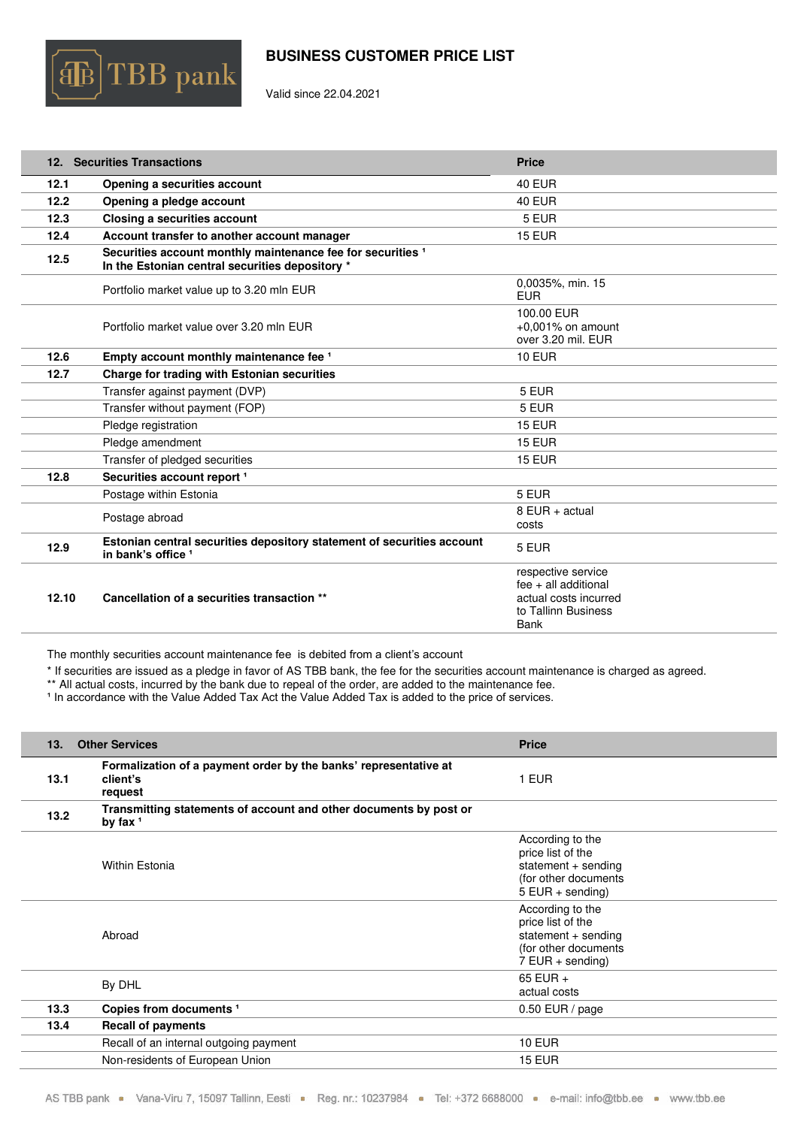

Valid since 22.04.2021

<span id="page-10-0"></span>

|       | 12. Securities Transactions                                                                                               | <b>Price</b>                                                                                                |
|-------|---------------------------------------------------------------------------------------------------------------------------|-------------------------------------------------------------------------------------------------------------|
| 12.1  | Opening a securities account                                                                                              | <b>40 EUR</b>                                                                                               |
| 12.2  | Opening a pledge account                                                                                                  | <b>40 EUR</b>                                                                                               |
| 12.3  | Closing a securities account                                                                                              | 5 EUR                                                                                                       |
| 12.4  | Account transfer to another account manager                                                                               | <b>15 EUR</b>                                                                                               |
| 12.5  | Securities account monthly maintenance fee for securities <sup>1</sup><br>In the Estonian central securities depository * |                                                                                                             |
|       | Portfolio market value up to 3.20 mln EUR                                                                                 | 0,0035%, min. 15<br>EUR.                                                                                    |
|       | Portfolio market value over 3.20 mln EUR                                                                                  | 100.00 EUR<br>$+0.001\%$ on amount<br>over 3.20 mil. EUR                                                    |
| 12.6  | Empty account monthly maintenance fee 1                                                                                   | <b>10 EUR</b>                                                                                               |
| 12.7  | Charge for trading with Estonian securities                                                                               |                                                                                                             |
|       | Transfer against payment (DVP)                                                                                            | 5 EUR                                                                                                       |
|       | Transfer without payment (FOP)                                                                                            | 5 EUR                                                                                                       |
|       | Pledge registration                                                                                                       | <b>15 EUR</b>                                                                                               |
|       | Pledge amendment                                                                                                          | <b>15 EUR</b>                                                                                               |
|       | Transfer of pledged securities                                                                                            | <b>15 EUR</b>                                                                                               |
| 12.8  | Securities account report <sup>1</sup>                                                                                    |                                                                                                             |
|       | Postage within Estonia                                                                                                    | 5 EUR                                                                                                       |
|       | Postage abroad                                                                                                            | 8 EUR + actual<br>costs                                                                                     |
| 12.9  | Estonian central securities depository statement of securities account<br>in bank's office 1                              | 5 EUR                                                                                                       |
| 12.10 | Cancellation of a securities transaction **                                                                               | respective service<br>$fee + all additional$<br>actual costs incurred<br>to Tallinn Business<br><b>Bank</b> |

The monthly securities account maintenance fee is debited from a client's account

\* If securities are issued as a pledge in favor of AS TBB bank, the fee for the securities account maintenance is charged as agreed.

\*\* All actual costs, incurred by the bank due to repeal of the order, are added to the maintenance fee.

<sup>1</sup> In accordance with the Value Added Tax Act the Value Added Tax is added to the price of services.

<span id="page-10-1"></span>

| 13.  | <b>Other Services</b>                                                                   | <b>Price</b>                                                                                               |
|------|-----------------------------------------------------------------------------------------|------------------------------------------------------------------------------------------------------------|
| 13.1 | Formalization of a payment order by the banks' representative at<br>client's<br>request | 1 EUR                                                                                                      |
| 13.2 | Transmitting statements of account and other documents by post or<br>by fax $1$         |                                                                                                            |
|      | Within Estonia                                                                          | According to the<br>price list of the<br>statement + sending<br>(for other documents<br>$5$ EUR + sending) |
|      | Abroad                                                                                  | According to the<br>price list of the<br>statement + sending<br>(for other documents<br>$7$ EUR + sending) |
|      | By DHL                                                                                  | 65 EUR $+$<br>actual costs                                                                                 |
| 13.3 | Copies from documents <sup>1</sup>                                                      | $0.50$ EUR / page                                                                                          |
| 13.4 | <b>Recall of payments</b>                                                               |                                                                                                            |
|      | Recall of an internal outgoing payment                                                  | <b>10 EUR</b>                                                                                              |
|      | Non-residents of European Union                                                         | <b>15 EUR</b>                                                                                              |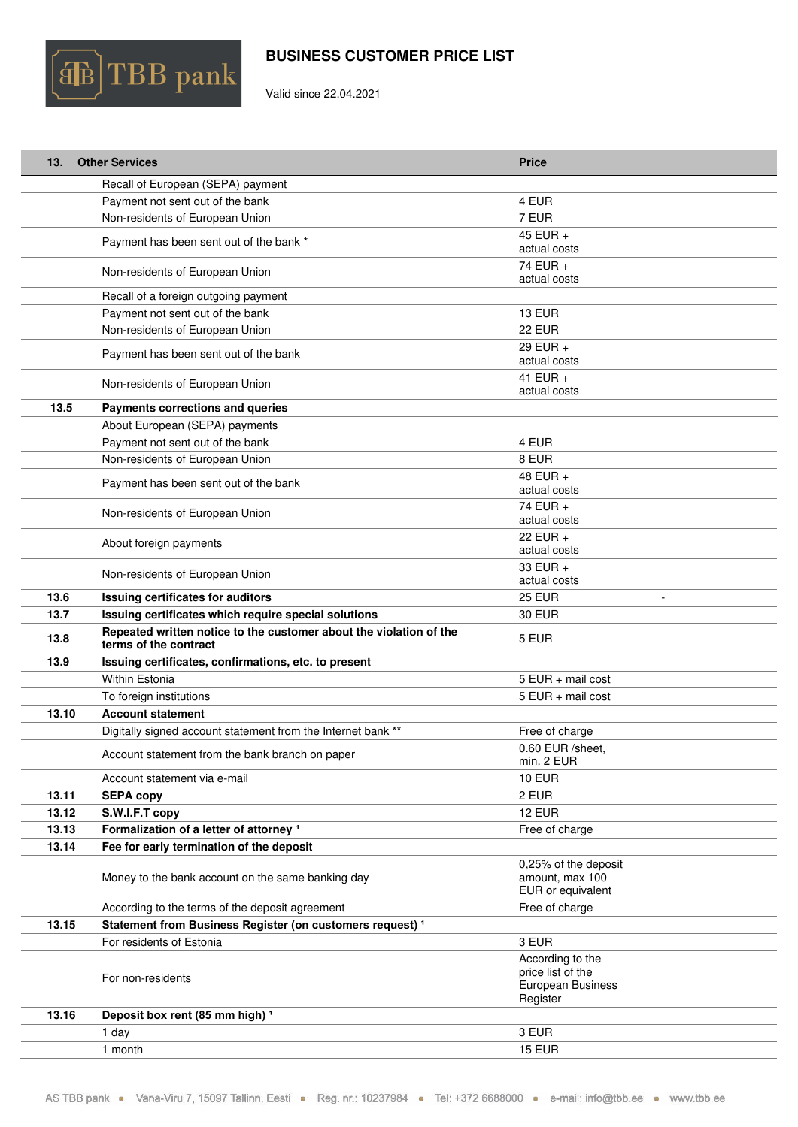

Valid since 22.04.2021

| 13.   | <b>Other Services</b>                                                                       | <b>Price</b>                                                           |
|-------|---------------------------------------------------------------------------------------------|------------------------------------------------------------------------|
|       | Recall of European (SEPA) payment                                                           |                                                                        |
|       | Payment not sent out of the bank                                                            | 4 EUR                                                                  |
|       | Non-residents of European Union                                                             | 7 EUR                                                                  |
|       | Payment has been sent out of the bank *                                                     | 45 EUR +<br>actual costs                                               |
|       | Non-residents of European Union                                                             | 74 EUR +<br>actual costs                                               |
|       | Recall of a foreign outgoing payment                                                        |                                                                        |
|       | Payment not sent out of the bank                                                            | <b>13 EUR</b>                                                          |
|       | Non-residents of European Union                                                             | <b>22 EUR</b>                                                          |
|       | Payment has been sent out of the bank                                                       | 29 EUR $+$<br>actual costs                                             |
|       | Non-residents of European Union                                                             | 41 EUR $+$<br>actual costs                                             |
| 13.5  | Payments corrections and queries                                                            |                                                                        |
|       | About European (SEPA) payments                                                              |                                                                        |
|       | Payment not sent out of the bank                                                            | 4 EUR                                                                  |
|       | Non-residents of European Union                                                             | 8 EUR                                                                  |
|       | Payment has been sent out of the bank                                                       | 48 EUR +<br>actual costs                                               |
|       | Non-residents of European Union                                                             | 74 EUR +<br>actual costs                                               |
|       | About foreign payments                                                                      | 22 EUR $+$<br>actual costs                                             |
|       | Non-residents of European Union                                                             | 33 EUR +<br>actual costs                                               |
| 13.6  | Issuing certificates for auditors                                                           | <b>25 EUR</b>                                                          |
|       |                                                                                             |                                                                        |
| 13.7  | Issuing certificates which require special solutions                                        | <b>30 EUR</b>                                                          |
| 13.8  | Repeated written notice to the customer about the violation of the<br>terms of the contract | 5 EUR                                                                  |
| 13.9  | Issuing certificates, confirmations, etc. to present                                        |                                                                        |
|       | Within Estonia                                                                              | $5$ EUR + mail cost                                                    |
|       | To foreign institutions                                                                     | $5$ EUR + mail cost                                                    |
| 13.10 | <b>Account statement</b>                                                                    |                                                                        |
|       | Digitally signed account statement from the Internet bank **                                | Free of charge                                                         |
|       | Account statement from the bank branch on paper                                             | 0.60 EUR /sheet,<br>min. 2 EUR                                         |
|       | Account statement via e-mail                                                                | <b>10 EUR</b>                                                          |
| 13.11 | <b>SEPA copy</b>                                                                            | 2 EUR                                                                  |
| 13.12 | S.W.I.F.T copy                                                                              | <b>12 EUR</b>                                                          |
| 13.13 | Formalization of a letter of attorney <sup>1</sup>                                          | Free of charge                                                         |
| 13.14 | Fee for early termination of the deposit                                                    |                                                                        |
|       | Money to the bank account on the same banking day                                           | 0,25% of the deposit<br>amount, max 100<br>EUR or equivalent           |
|       | According to the terms of the deposit agreement                                             | Free of charge                                                         |
| 13.15 | Statement from Business Register (on customers request) <sup>1</sup>                        |                                                                        |
|       | For residents of Estonia                                                                    | 3 EUR                                                                  |
|       | For non-residents                                                                           | According to the<br>price list of the<br>European Business<br>Register |
| 13.16 | Deposit box rent (85 mm high) <sup>1</sup>                                                  |                                                                        |
|       | 1 day                                                                                       | 3 EUR                                                                  |